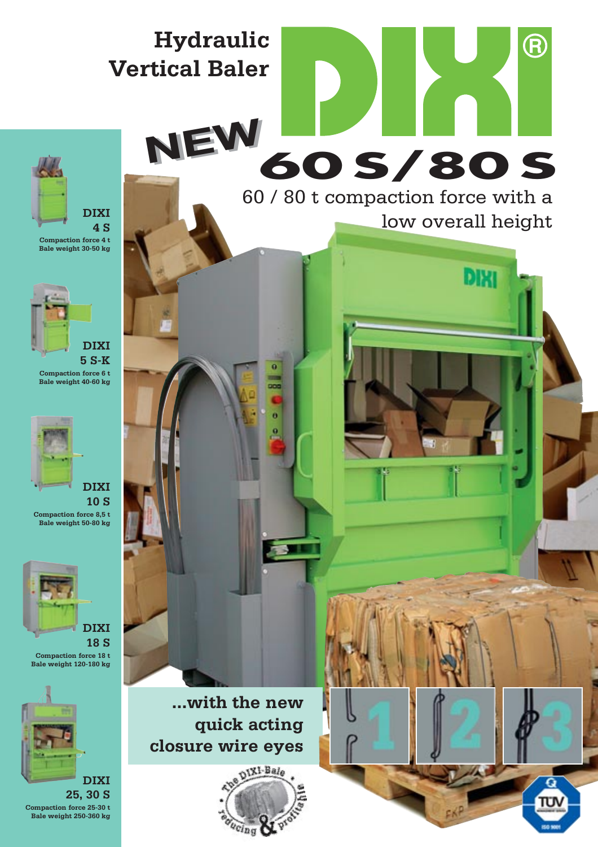

**NEW NEW**

60 / 80 t compaction force with a low overall height

**DIXI** 

**60 S/80 S**

R



**Bale weight 30-50 kg** 



**Compaction force 6 t Bale weight 40-60 kg** 



**10 S Compaction force 8,5 t Bale weight 50-80 kg** 



**Compaction force 18 t Bale weight 120-180 kg** 



**25, 30 S Compaction force 25-30 t Bale weight 250-360 kg** 

**...with the new quick acting closure wire eyes** 



n